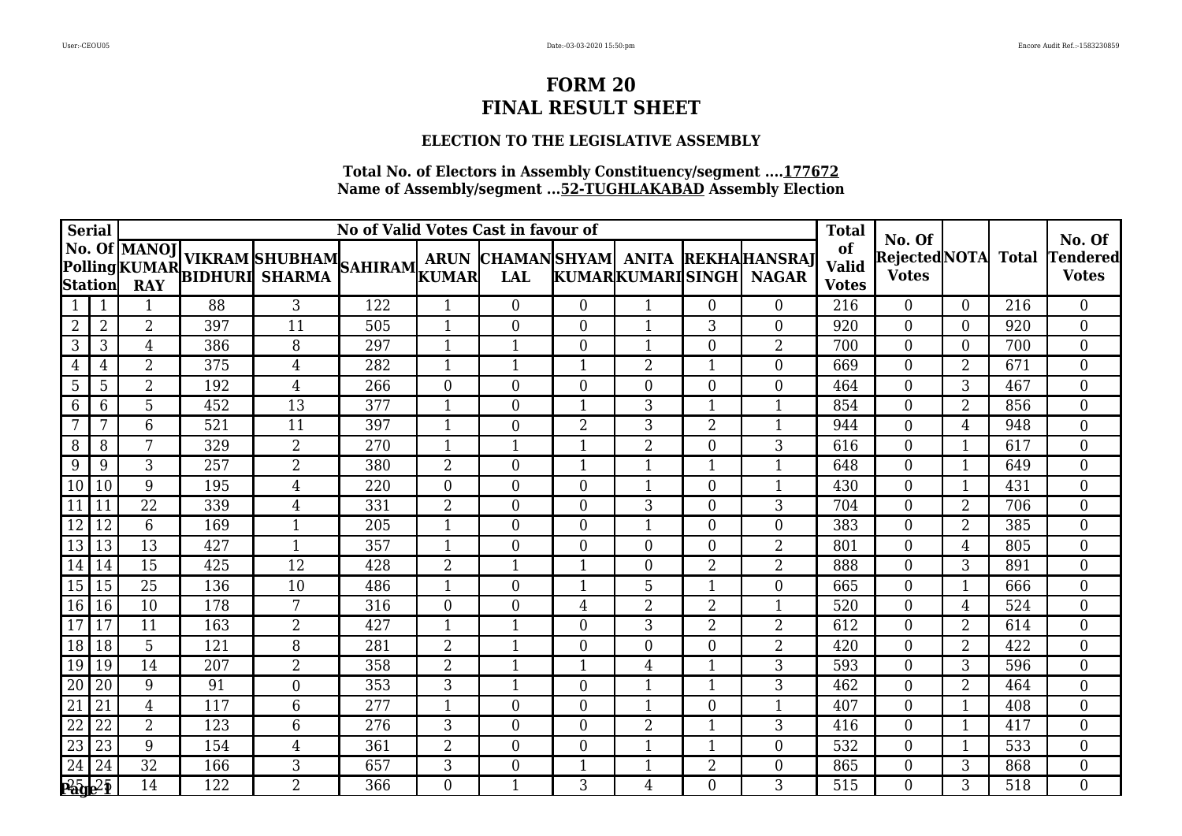## **ELECTION TO THE LEGISLATIVE ASSEMBLY**

| Serial                     |                |                 |     | <b>Total</b>                                                             | No. Of |                  |                  | No. Of           |                          |                |                                                     |                                    |                                     |                |     |                          |
|----------------------------|----------------|-----------------|-----|--------------------------------------------------------------------------|--------|------------------|------------------|------------------|--------------------------|----------------|-----------------------------------------------------|------------------------------------|-------------------------------------|----------------|-----|--------------------------|
|                            |                |                 |     | No. Of MANOJ VIKRAM SHUBHAM SAHIRAM ARUN IN Polling KUMAR BIDHURI SHARMA |        |                  | <b>LAL</b>       |                  | <b>KUMARKUMARISINGHI</b> |                | ARUN CHAMANSHYAM ANITA REKHAHANSRAJ<br><b>NAGAR</b> | of<br><b>Valid</b><br><b>Votes</b> | Rejected NOTA Total<br><b>Votes</b> |                |     | Tendered<br><b>Votes</b> |
|                            |                | 1               | 88  | 3                                                                        | 122    | $\mathbf{1}$     | $\theta$         | $\overline{0}$   | $\mathbf{1}$             | $\Omega$       | $\overline{0}$                                      | 216                                | $\theta$                            | $\theta$       | 216 | $\overline{0}$           |
| $\overline{2}$             | $\overline{2}$ | $\overline{2}$  | 397 | 11                                                                       | 505    | 1                | $\overline{0}$   | $\overline{0}$   | $\mathbf{1}$             | 3              | $\overline{0}$                                      | 920                                | $\overline{0}$                      | $\Omega$       | 920 | $\overline{0}$           |
| 3                          | 3              | $\overline{4}$  | 386 | 8                                                                        | 297    | $\mathbf{1}$     | 1                | $\theta$         | $\mathbf{1}$             | $\Omega$       | $\overline{2}$                                      | 700                                | $\theta$                            | $\Omega$       | 700 | $\overline{0}$           |
| 4                          | 4              | 2               | 375 | 4                                                                        | 282    | $\mathbf{1}$     |                  |                  | $\overline{2}$           |                | $\overline{0}$                                      | 669                                | $\overline{0}$                      | $\overline{2}$ | 671 | $\overline{0}$           |
| $5\overline{)}$            | 5              | $\overline{2}$  | 192 | 4                                                                        | 266    | $\overline{0}$   | $\overline{0}$   | $\overline{0}$   | 0                        | $\theta$       | $\boldsymbol{0}$                                    | 464                                | $\theta$                            | 3              | 467 | $\overline{0}$           |
| 6                          | 6              | 5               | 452 | 13                                                                       | 377    | $\mathbf{1}$     | $\overline{0}$   | -1               | 3                        |                | $\mathbf{1}$                                        | 854                                | $\overline{0}$                      | 2              | 856 | $\overline{0}$           |
| 7                          | 7              | $6\overline{6}$ | 521 | 11                                                                       | 397    | 1                | $\overline{0}$   | $\overline{2}$   | 3                        | $\overline{2}$ | $\mathbf{1}$                                        | 944                                | $\overline{0}$                      | 4              | 948 | $\overline{0}$           |
| 8                          | 8              | 7               | 329 | $\overline{2}$                                                           | 270    | 1                | $\mathbf{1}$     | -1               | $\overline{2}$           | $\theta$       | 3                                                   | 616                                | $\overline{0}$                      | $\mathbf 1$    | 617 | $\overline{0}$           |
| 9                          | 9              | 3               | 257 | $\overline{2}$                                                           | 380    | $\overline{2}$   | $\overline{0}$   | $\mathbf{1}$     | $\mathbf{1}$             |                | $\mathbf{1}$                                        | 648                                | $\overline{0}$                      | $\mathbf{1}$   | 649 | $\overline{0}$           |
| $\overline{10}$            | 10             | 9               | 195 | 4                                                                        | 220    | $\theta$         | $\theta$         | $\theta$         | $\mathbf{1}$             | $\theta$       | $\mathbf{1}$                                        | 430                                | $\theta$                            | $\mathbf 1$    | 431 | $\overline{0}$           |
| $\overline{11}$            | 11             | 22              | 339 | 4                                                                        | 331    | $\overline{2}$   | $\overline{0}$   | $\theta$         | 3                        | $\Omega$       | 3                                                   | 704                                | $\overline{0}$                      | $\overline{2}$ | 706 | $\overline{0}$           |
| $\overline{12}$            | 12             | 6               | 169 | 1                                                                        | 205    | 1                | $\overline{0}$   | $\overline{0}$   | $\mathbf{1}$             | $\Omega$       | $\overline{0}$                                      | 383                                | $\overline{0}$                      | $\overline{2}$ | 385 | $\overline{0}$           |
| 13                         | 13             | 13              | 427 |                                                                          | 357    | 1                | $\overline{0}$   | $\overline{0}$   | $\overline{0}$           | $\Omega$       | $\overline{2}$                                      | 801                                | $\overline{0}$                      | 4              | 805 | $\overline{0}$           |
| 14                         | 14             | 15              | 425 | 12                                                                       | 428    | $\overline{2}$   | $\mathbf 1$      | -1               | $\overline{0}$           | $\overline{2}$ | $\overline{2}$                                      | 888                                | $\overline{0}$                      | 3              | 891 | $\overline{0}$           |
| 15                         | 15             | $\overline{25}$ | 136 | 10                                                                       | 486    | 1                | $\boldsymbol{0}$ |                  | 5                        |                | $\boldsymbol{0}$                                    | 665                                | $\overline{0}$                      | $\mathbf 1$    | 666 | $\overline{0}$           |
| $\boxed{16}$               | 16             | 10              | 178 | 7                                                                        | 316    | $\boldsymbol{0}$ | 0                | $\overline{4}$   | $\overline{2}$           | $\overline{2}$ | $\mathbf{1}$                                        | 520                                | $\boldsymbol{0}$                    | 4              | 524 | $\overline{0}$           |
| 17                         | 17             | 11              | 163 | $\overline{2}$                                                           | 427    | $\mathbf{1}$     | $\mathbf{1}$     | $\overline{0}$   | 3                        | $\overline{2}$ | $\overline{2}$                                      | 612                                | $\boldsymbol{0}$                    | $\overline{2}$ | 614 | $\overline{0}$           |
| $\overline{18}$            | 18             | 5               | 121 | 8                                                                        | 281    | $\overline{2}$   | $\mathbf{1}$     | $\boldsymbol{0}$ | $\overline{0}$           | $\theta$       | $\overline{2}$                                      | 420                                | $\boldsymbol{0}$                    | $\overline{2}$ | 422 | $\overline{0}$           |
| $\sqrt{19}$                | 19             | 14              | 207 | $\overline{2}$                                                           | 358    | $\overline{2}$   | $\mathbf{1}$     | $\mathbf{1}$     | 4                        | $\mathbf{1}$   | 3                                                   | 593                                | $\theta$                            | 3              | 596 | $\overline{0}$           |
| $\overline{20}$            | 20             | 9               | 91  | $\overline{0}$                                                           | 353    | 3                | 1                | $\overline{0}$   | $\mathbf{1}$             | -1             | 3                                                   | 462                                | $\overline{0}$                      | 2              | 464 | $\overline{0}$           |
| $\overline{21}$            | 21             | $\overline{4}$  | 117 | 6                                                                        | 277    | $\mathbf{1}$     | $\overline{0}$   | $\theta$         | $\mathbf{1}$             | $\theta$       | $\mathbf{1}$                                        | 407                                | $\overline{0}$                      | $\mathbf{1}$   | 408 | $\overline{0}$           |
| 22                         | 22             | $\overline{2}$  | 123 | 6                                                                        | 276    | 3                | 0                | $\mathbf{0}$     | $\overline{2}$           |                | 3                                                   | 416                                | $\overline{0}$                      | -1             | 417 | $\overline{0}$           |
| $\sqrt{23}$                | 23             | 9               | 154 | $\overline{4}$                                                           | 361    | $\overline{2}$   | $\overline{0}$   | $\boldsymbol{0}$ | $\mathbf{1}$             |                | $\boldsymbol{0}$                                    | 532                                | $\overline{0}$                      | 1              | 533 | $\overline{0}$           |
| $\boxed{24}$               | 24             | 32              | 166 | 3                                                                        | 657    | 3                | $\boldsymbol{0}$ | 1                | $\mathbf{1}$             | $\overline{2}$ | $\boldsymbol{0}$                                    | 865                                | $\boldsymbol{0}$                    | 3              | 868 | $\overline{0}$           |
| $P_{\theta}$ $\frac{1}{2}$ |                | 14              | 122 | $\overline{2}$                                                           | 366    | $\overline{0}$   | $\mathbf{1}$     | 3                | 4                        | $\overline{0}$ | 3                                                   | 515                                | $\overline{0}$                      | 3              | 518 | $\overline{0}$           |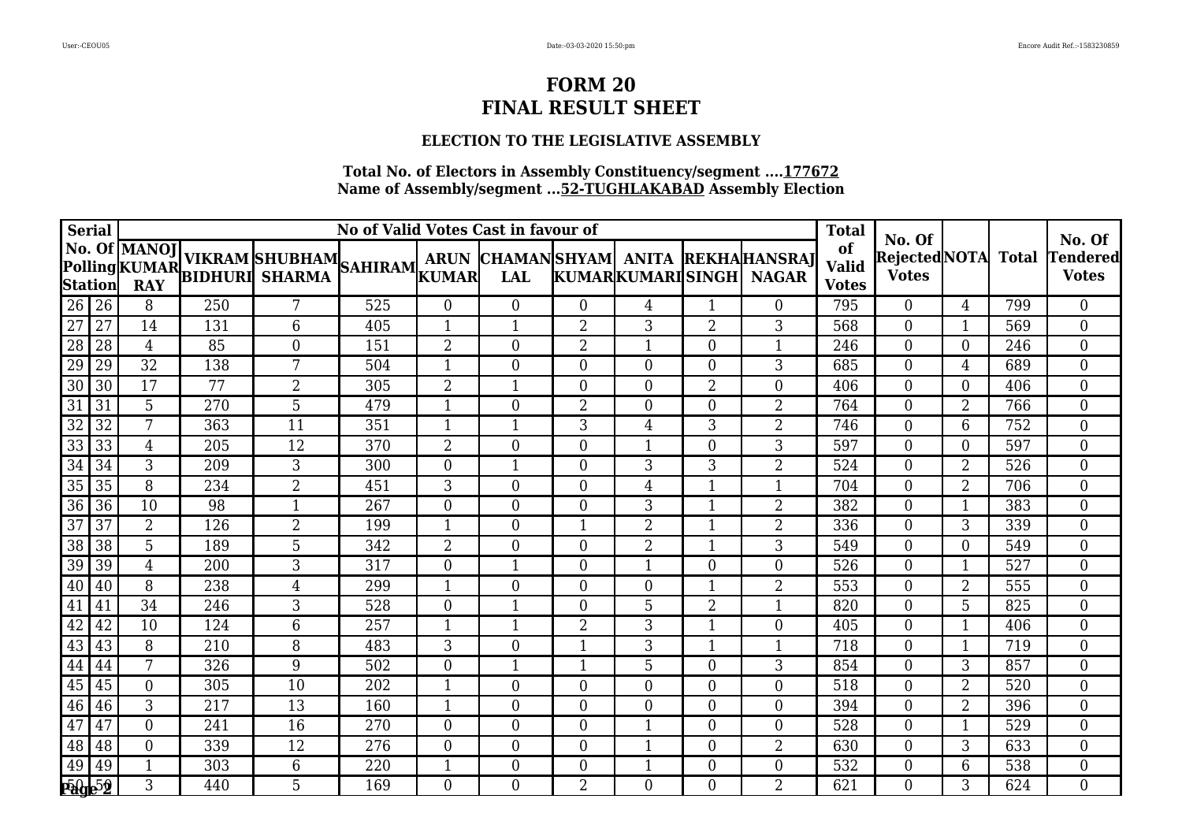## **ELECTION TO THE LEGISLATIVE ASSEMBLY**

| <b>Serial</b>   |    | No of Valid Votes Cast in favour of |     |                                                                  |     |                  |                  |                  |                         |                |                                                     |                                    | No. Of                              |                |              | No. Of                   |
|-----------------|----|-------------------------------------|-----|------------------------------------------------------------------|-----|------------------|------------------|------------------|-------------------------|----------------|-----------------------------------------------------|------------------------------------|-------------------------------------|----------------|--------------|--------------------------|
| Station         |    | No. Of MANOJ<br><b>RAY</b>          |     | <b>NO. OF MANOJ</b><br>PollingKUMAR BIDHURI SHARMA SAHIRAM KUMAR |     |                  | <b>LAL</b>       |                  | <b>KUMARKUMARISINGH</b> |                | ARUN CHAMANSHYAM ANITA REKHAHANSRAJ<br><b>NAGAR</b> | of<br><b>Valid</b><br><b>Votes</b> | <b>RejectedNOTA</b><br><b>Votes</b> |                | <b>Total</b> | Tendered<br><b>Votes</b> |
| 26              | 26 | 8                                   | 250 | 7                                                                | 525 | $\overline{0}$   | $\overline{0}$   | $\Omega$         | 4                       | $\mathbf{1}$   | $\Omega$                                            | 795                                | $\Omega$                            | 4              | 799          | $\overline{0}$           |
| 27              | 27 | 14                                  | 131 | 6                                                                | 405 | $\mathbf{1}$     | 1                | $\overline{2}$   | 3                       | $\overline{2}$ | 3                                                   | 568                                | $\Omega$                            | $\mathbf{1}$   | 569          | $\overline{0}$           |
| $\overline{28}$ | 28 | $\overline{4}$                      | 85  | $\theta$                                                         | 151 | $\overline{2}$   | $\overline{0}$   | $\overline{2}$   | 1                       | $\Omega$       | $\mathbf{1}$                                        | 246                                | $\Omega$                            | $\theta$       | 246          | $\overline{0}$           |
| 29              | 29 | 32                                  | 138 | 7                                                                | 504 | 1                | $\overline{0}$   | $\Omega$         | $\theta$                | $\Omega$       | 3                                                   | 685                                | $\Omega$                            | 4              | 689          | $\overline{0}$           |
| 30              | 30 | 17                                  | 77  | $\overline{2}$                                                   | 305 | $\overline{2}$   | 1                | $\Omega$         | $\theta$                | $\overline{2}$ | $\overline{0}$                                      | 406                                | $\Omega$                            | $\theta$       | 406          | $\boldsymbol{0}$         |
| 31              | 31 | 5                                   | 270 | 5                                                                | 479 | $\mathbf{1}$     | $\overline{0}$   | $\overline{2}$   | $\theta$                | $\Omega$       | $\overline{2}$                                      | 764                                | $\Omega$                            | $\overline{2}$ | 766          | $\boldsymbol{0}$         |
| 32              | 32 | 7                                   | 363 | 11                                                               | 351 | $\mathbf{1}$     |                  | 3                | 4                       | 3              | $\overline{2}$                                      | 746                                | $\theta$                            | 6              | 752          | $\boldsymbol{0}$         |
| 33              | 33 | 4                                   | 205 | 12                                                               | 370 | $\overline{2}$   | $\overline{0}$   | $\Omega$         | $\mathbf{1}$            | $\Omega$       | 3                                                   | 597                                | $\theta$                            | $\Omega$       | 597          | $\boldsymbol{0}$         |
| 34              | 34 | 3                                   | 209 | 3                                                                | 300 | $\boldsymbol{0}$ | $\mathbf{1}$     | $\overline{0}$   | 3                       | 3              | $\overline{2}$                                      | 524                                | $\theta$                            | $\overline{2}$ | 526          | $\boldsymbol{0}$         |
| 35              | 35 | 8                                   | 234 | $\overline{2}$                                                   | 451 | 3                | $\theta$         | $\Omega$         | 4                       | 1              | 1                                                   | 704                                | $\theta$                            | $\overline{2}$ | 706          | $\overline{0}$           |
| 36              | 36 | 10                                  | 98  | 1                                                                | 267 | $\overline{0}$   | $\overline{0}$   | $\Omega$         | 3                       | $\mathbf 1$    | $\overline{2}$                                      | 382                                | $\Omega$                            | 1              | 383          | $\overline{0}$           |
| $\overline{37}$ | 37 | $\overline{2}$                      | 126 | $\overline{2}$                                                   | 199 | $\mathbf{1}$     | $\overline{0}$   |                  | $\overline{2}$          | $\mathbf{1}$   | $\overline{2}$                                      | 336                                | $\theta$                            | 3              | 339          | $\overline{0}$           |
| 38              | 38 | 5                                   | 189 | 5                                                                | 342 | $\overline{2}$   | $\overline{0}$   | $\overline{0}$   | 2                       |                | 3                                                   | 549                                | $\theta$                            | $\Omega$       | 549          | $\overline{0}$           |
| 39              | 39 | 4                                   | 200 | 3                                                                | 317 | $\boldsymbol{0}$ | $\mathbf 1$      | $\overline{0}$   | $\mathbf{1}$            | 0              | $\boldsymbol{0}$                                    | 526                                | $\theta$                            | $\mathbf{1}$   | 527          | $\boldsymbol{0}$         |
| 40              | 40 | 8                                   | 238 | 4                                                                | 299 | 1                | $\overline{0}$   | $\overline{0}$   | $\boldsymbol{0}$        | $\mathbf 1$    | $\overline{2}$                                      | 553                                | $\overline{0}$                      | $\overline{2}$ | 555          | $\overline{0}$           |
| 41              | 41 | 34                                  | 246 | 3                                                                | 528 | $\boldsymbol{0}$ | $\mathbf{1}$     | $\overline{0}$   | 5                       | $\overline{2}$ | $\mathbf{1}$                                        | 820                                | $\overline{0}$                      | 5              | 825          | $\overline{0}$           |
| 42              | 42 | 10                                  | 124 | 6                                                                | 257 | $\mathbf{1}$     | $\mathbf{1}$     | $\overline{2}$   | 3                       | 1              | $\boldsymbol{0}$                                    | 405                                | $\overline{0}$                      | $\mathbf{1}$   | 406          | $\boldsymbol{0}$         |
| 43              | 43 | 8                                   | 210 | 8                                                                | 483 | 3                | $\boldsymbol{0}$ | -1               | 3                       | $\mathbf{1}$   | 1                                                   | 718                                | $\Omega$                            | $\mathbf{1}$   | 719          | $\boldsymbol{0}$         |
| 44              | 44 | 7                                   | 326 | 9                                                                | 502 | $\overline{0}$   | $\mathbf{1}$     |                  | 5                       | $\theta$       | 3                                                   | 854                                | $\Omega$                            | 3              | 857          | $\boldsymbol{0}$         |
| 45              | 45 | $\overline{0}$                      | 305 | 10                                                               | 202 | $\mathbf{1}$     | $\overline{0}$   | $\overline{0}$   | $\overline{0}$          | $\Omega$       | $\overline{0}$                                      | 518                                | $\Omega$                            | $\overline{2}$ | 520          | $\overline{0}$           |
| 46              | 46 | 3                                   | 217 | 13                                                               | 160 | 1                | $\overline{0}$   | $\theta$         | $\overline{0}$          | 0              | $\overline{0}$                                      | 394                                | $\theta$                            | $\overline{2}$ | 396          | $\overline{0}$           |
| 47              | 47 | 0                                   | 241 | 16                                                               | 270 | $\overline{0}$   | $\boldsymbol{0}$ | $\overline{0}$   | $\mathbf{1}$            | 0              | $\boldsymbol{0}$                                    | 528                                | $\Omega$                            | 1              | 529          | $\boldsymbol{0}$         |
| 48              | 48 | $\overline{0}$                      | 339 | 12                                                               | 276 | $\boldsymbol{0}$ | $\boldsymbol{0}$ | $\boldsymbol{0}$ | $\mathbf{1}$            | $\overline{0}$ | $\overline{2}$                                      | 630                                | $\theta$                            | 3              | 633          | $\boldsymbol{0}$         |
| 49              | 49 | 1                                   | 303 | 6                                                                | 220 | 1                | $\boldsymbol{0}$ | $\overline{0}$   | $\mathbf{1}$            | $\overline{0}$ | $\overline{0}$                                      | 532                                | $\overline{0}$                      | 6              | 538          | $\overline{0}$           |
| <b>Page 52</b>  |    | 3                                   | 440 | 5                                                                | 169 | $\overline{0}$   | $\overline{0}$   | $\overline{2}$   | $\overline{0}$          | $\theta$       | $\overline{2}$                                      | 621                                | $\theta$                            | 3              | 624          | $\overline{0}$           |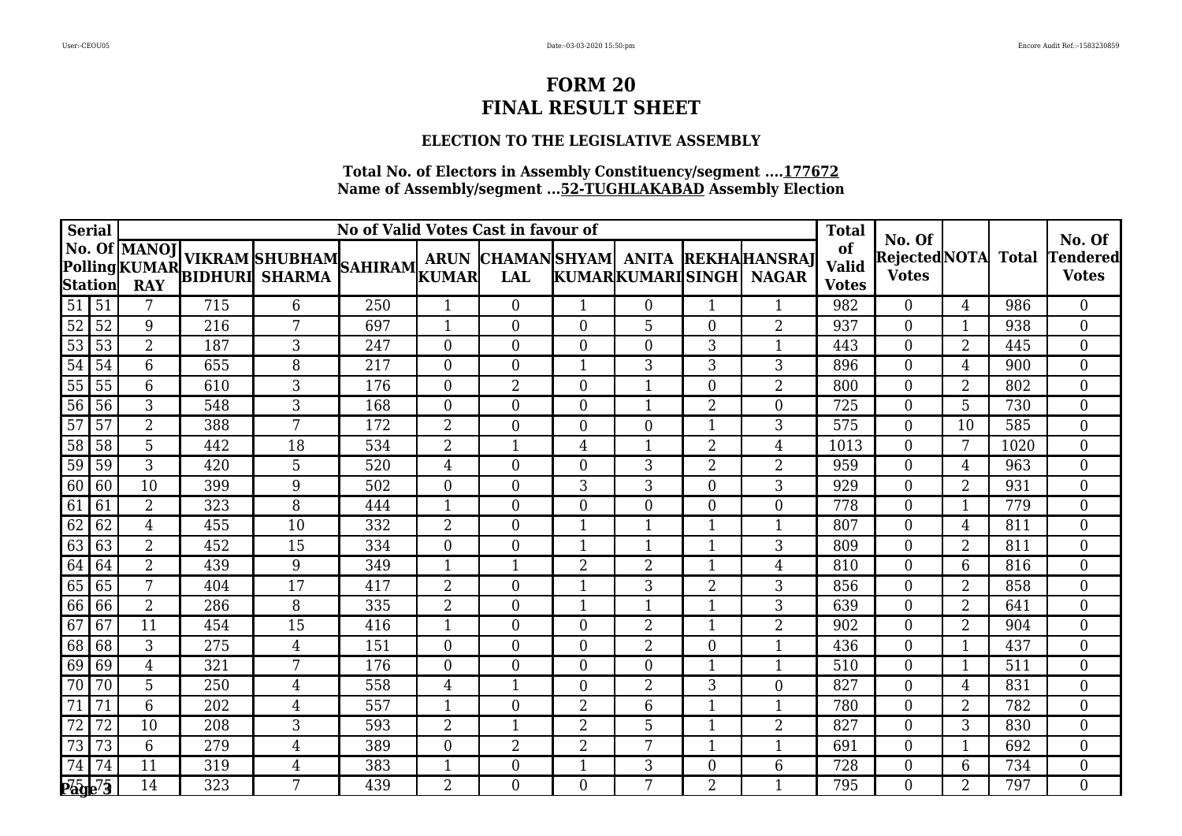## **ELECTION TO THE LEGISLATIVE ASSEMBLY**

|                      | <b>Serial</b> | No of Valid Votes Cast in favour of |     |                                                                                          |     |                  |                  |                |                         |                |                                                     | <b>Total</b>                       | No. Of                              |                |              | No. Of                   |
|----------------------|---------------|-------------------------------------|-----|------------------------------------------------------------------------------------------|-----|------------------|------------------|----------------|-------------------------|----------------|-----------------------------------------------------|------------------------------------|-------------------------------------|----------------|--------------|--------------------------|
|                      | Station       | No. Of MANOJ<br><b>RAY</b>          |     | <b>NO. OF MANOJ VIKRAM SHUBHAM</b><br>Polling KUMAR<br>Station <b>PAY BIDHURI SHARMA</b> |     |                  | <b>LAL</b>       |                | <b>KUMARKUMARISINGH</b> |                | ARUN CHAMANSHYAM ANITA REKHAHANSRAT<br><b>NAGAR</b> | of<br><b>Valid</b><br><b>Votes</b> | <b>RejectedNOTA</b><br><b>Votes</b> |                | <b>Total</b> | Tendered<br><b>Votes</b> |
| 51                   | 51            | 7                                   | 715 | 6                                                                                        | 250 | 1                | $\overline{0}$   |                | $\overline{0}$          | -1             |                                                     | 982                                | $\Omega$                            | 4              | 986          | $\overline{0}$           |
| 52                   | 52            | 9                                   | 216 | 7                                                                                        | 697 | $\mathbf{1}$     | $\boldsymbol{0}$ | $\overline{0}$ | 5                       | $\overline{0}$ | $\overline{2}$                                      | 937                                | $\theta$                            | 1              | 938          | $\overline{0}$           |
| 53                   | 53            | $\overline{2}$                      | 187 | 3                                                                                        | 247 | $\overline{0}$   | $\overline{0}$   | $\Omega$       | $\theta$                | 3              | $\mathbf{1}$                                        | 443                                | $\theta$                            | $\overline{2}$ | 445          | $\overline{0}$           |
| $\overline{54}$      | 54            | 6                                   | 655 | 8                                                                                        | 217 | $\overline{0}$   | $\overline{0}$   |                | 3                       | 3              | 3                                                   | 896                                | $\theta$                            | 4              | 900          | $\overline{0}$           |
| 55                   | 55            | 6                                   | 610 | 3                                                                                        | 176 | $\overline{0}$   | $\overline{2}$   | $\Omega$       | $\mathbf{1}$            | 0              | $\overline{2}$                                      | 800                                | $\theta$                            | $\overline{2}$ | 802          | $\overline{0}$           |
| 56                   | 56            | 3                                   | 548 | 3                                                                                        | 168 | $\overline{0}$   | $\overline{0}$   | $\overline{0}$ | $\mathbf{1}$            | $\overline{2}$ | $\overline{0}$                                      | 725                                | $\Omega$                            | 5              | 730          | $\boldsymbol{0}$         |
| 57                   | 57            | 2                                   | 388 | 7                                                                                        | 172 | $\overline{2}$   | $\boldsymbol{0}$ | $\overline{0}$ | $\overline{0}$          | 1              | 3                                                   | 575                                | $\theta$                            | 10             | 585          | $\boldsymbol{0}$         |
| 58                   | 58            | 5                                   | 442 | 18                                                                                       | 534 | $\overline{2}$   | 1                | 4              | 1                       | $\overline{2}$ | 4                                                   | 1013                               | $\theta$                            | 7              | 1020         | $\overline{0}$           |
| 59                   | 59            | 3                                   | 420 | 5                                                                                        | 520 | $\overline{4}$   | $\boldsymbol{0}$ | $\overline{0}$ | 3                       | $\overline{2}$ | $\overline{2}$                                      | 959                                | $\overline{0}$                      | 4              | 963          | $\overline{0}$           |
| 60                   | 60            | 10                                  | 399 | 9                                                                                        | 502 | $\overline{0}$   | $\overline{0}$   | 3              | 3                       | $\theta$       | 3                                                   | 929                                | $\theta$                            | $\overline{2}$ | 931          | $\boldsymbol{0}$         |
| 61                   | 61            | 2                                   | 323 | 8                                                                                        | 444 | $\mathbf{1}$     | $\overline{0}$   | $\theta$       | $\overline{0}$          | $\Omega$       | $\overline{0}$                                      | 778                                | $\Omega$                            | 1              | 779          | $\boldsymbol{0}$         |
| 62                   | 62            | 4                                   | 455 | 10                                                                                       | 332 | $\overline{2}$   | $\overline{0}$   |                | $\mathbf{1}$            | $\mathbf 1$    | $\mathbf{1}$                                        | 807                                | $\Omega$                            | 4              | 811          | $\boldsymbol{0}$         |
| 63                   | 63            | 2                                   | 452 | 15                                                                                       | 334 | $\overline{0}$   | $\overline{0}$   |                | 1                       |                | 3                                                   | 809                                | $\Omega$                            | $\overline{2}$ | 811          | $\overline{0}$           |
| 64                   | 64            | $\overline{2}$                      | 439 | 9                                                                                        | 349 | $\mathbf{1}$     | 1                | $\overline{2}$ | $\overline{2}$          | $\mathbf{1}$   | $\overline{4}$                                      | 810                                | $\theta$                            | 6              | 816          | $\boldsymbol{0}$         |
| 65                   | 65            | 7                                   | 404 | 17                                                                                       | 417 | $\overline{2}$   | $\boldsymbol{0}$ |                | 3                       | 2              | 3                                                   | 856                                | $\overline{0}$                      | $\overline{2}$ | 858          | $\boldsymbol{0}$         |
| 66                   | 66            | $\overline{2}$                      | 286 | 8                                                                                        | 335 | $\overline{2}$   | $\overline{0}$   | -1             | $\mathbf{1}$            | 1              | 3                                                   | 639                                | $\theta$                            | $\overline{2}$ | 641          | $\overline{0}$           |
| 67                   | 67            | 11                                  | 454 | 15                                                                                       | 416 | $\mathbf{1}$     | $\overline{0}$   | $\overline{0}$ | $\overline{2}$          | $\mathbf 1$    | $\overline{2}$                                      | 902                                | $\overline{0}$                      | 2              | 904          | $\boldsymbol{0}$         |
| 68                   | 68            | 3                                   | 275 | 4                                                                                        | 151 | $\boldsymbol{0}$ | $\boldsymbol{0}$ | $\overline{0}$ | $\overline{2}$          | $\Omega$       | 1                                                   | 436                                | $\overline{0}$                      | 1              | 437          | $\boldsymbol{0}$         |
| 69                   | 69            | 4                                   | 321 | 7                                                                                        | 176 | $\theta$         | $\overline{0}$   | $\Omega$       | $\theta$                | $\mathbf 1$    | $\mathbf{1}$                                        | 510                                | $\theta$                            | 1              | 511          | $\boldsymbol{0}$         |
| 70                   | 70            | 5                                   | 250 | 4                                                                                        | 558 | $\overline{4}$   | 1                | $\overline{0}$ | 2                       | 3              | $\overline{0}$                                      | 827                                | $\Omega$                            | 4              | 831          | $\overline{0}$           |
| 71                   | 71            | $\overline{6}$                      | 202 | 4                                                                                        | 557 | 1                | $\overline{0}$   | $\overline{2}$ | 6                       | $\overline{1}$ | $\mathbf{1}$                                        | 780                                | $\theta$                            | $\overline{2}$ | 782          | $\overline{0}$           |
| 72                   | 72            | 10                                  | 208 | 3                                                                                        | 593 | $\overline{2}$   | $\mathbf 1$      | $\overline{2}$ | 5                       | $\mathbf 1$    | $\overline{2}$                                      | 827                                | $\Omega$                            | 3              | 830          | $\boldsymbol{0}$         |
| 73                   | 73            | $6\phantom{1}6$                     | 279 | $\overline{4}$                                                                           | 389 | $\boldsymbol{0}$ | $\overline{2}$   | $\overline{2}$ | 7                       | $\mathbf 1$    | $\mathbf{1}$                                        | 691                                | $\overline{0}$                      | 1              | 692          | $\boldsymbol{0}$         |
| 74                   | 74            | 11                                  | 319 | 4                                                                                        | 383 | $\mathbf{1}$     | $\boldsymbol{0}$ | 1              | 3                       | $\overline{0}$ | $\,6\,$                                             | 728                                | $\overline{0}$                      | 6              | 734          | $\overline{0}$           |
| $P\bar{a}$ g $e^7$ 3 |               | 14                                  | 323 | 7                                                                                        | 439 | $\overline{2}$   | $\overline{0}$   | $\Omega$       | 7                       | 2              | 1                                                   | 795                                | $\theta$                            | $\overline{2}$ | 797          | $\overline{0}$           |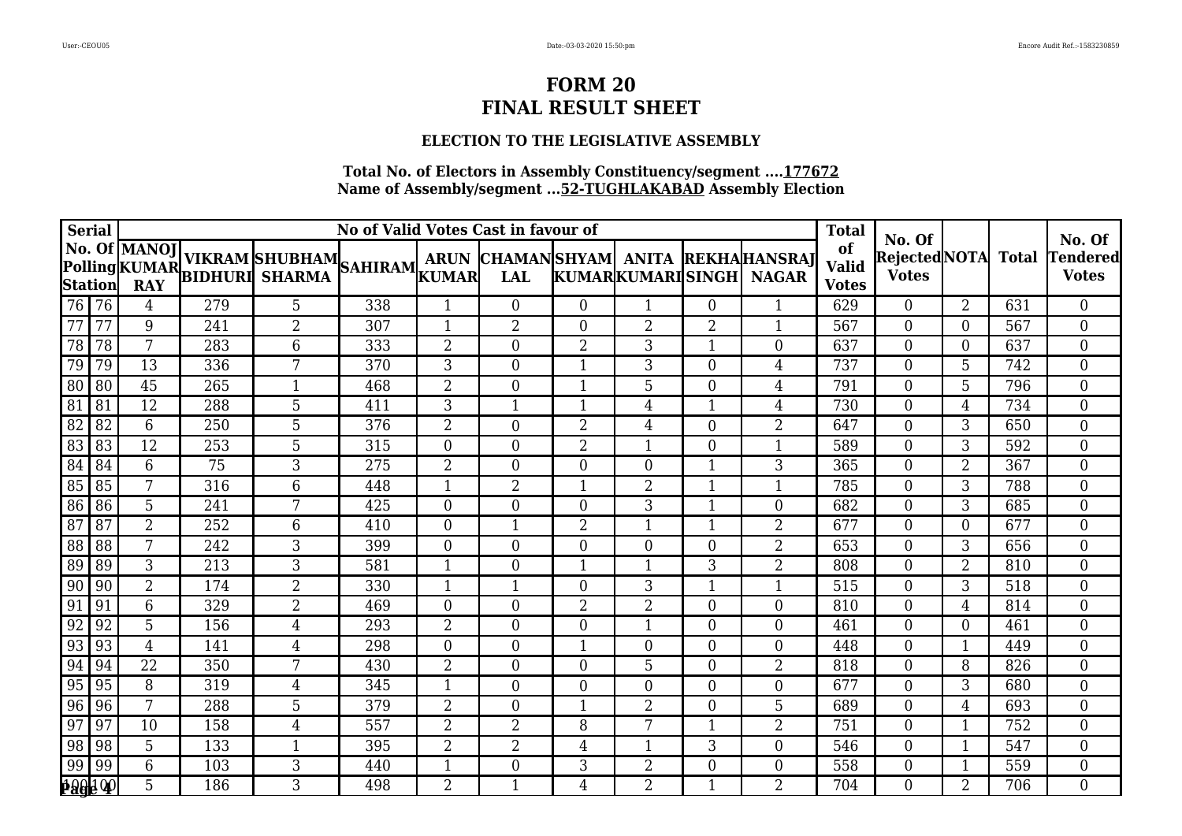## **ELECTION TO THE LEGISLATIVE ASSEMBLY**

| <b>Serial</b>   |       | No of Valid Votes Cast in favour of |     |                                                                                   |     |                  |                  |                |                         |                          |                                                     |                                    | No. Of                              |                |              | No. Of                   |
|-----------------|-------|-------------------------------------|-----|-----------------------------------------------------------------------------------|-----|------------------|------------------|----------------|-------------------------|--------------------------|-----------------------------------------------------|------------------------------------|-------------------------------------|----------------|--------------|--------------------------|
| Station         |       | No. Of MANOJ<br><b>RAY</b>          |     | <b>NO. OF MANOJ VIKRAM SHUBHAM</b><br>Polling KUMAR<br>Station DAY BIDHURI SHARMA |     |                  | <b>LAL</b>       |                | <b>KUMARKUMARISINGH</b> |                          | ARUN CHAMANSHYAM ANITA REKHAHANSRAT<br><b>NAGAR</b> | of<br><b>Valid</b><br><b>Votes</b> | <b>RejectedNOTA</b><br><b>Votes</b> |                | <b>Total</b> | Tendered<br><b>Votes</b> |
| 76 76           |       | 4                                   | 279 | 5                                                                                 | 338 | 1                | $\overline{0}$   | $\overline{0}$ | 1                       | $\Omega$                 | 1                                                   | 629                                | $\Omega$                            | 2              | 631          | $\overline{0}$           |
| 77              | 77    | 9                                   | 241 | $\overline{2}$                                                                    | 307 | $\mathbf{1}$     | $\overline{2}$   | $\overline{0}$ | $\overline{2}$          | $\overline{2}$           | $\mathbf{1}$                                        | 567                                | $\theta$                            | $\overline{0}$ | 567          | $\boldsymbol{0}$         |
| 78              | 78    | 7                                   | 283 | 6                                                                                 | 333 | $\overline{2}$   | $\overline{0}$   | $\overline{2}$ | 3                       | $\mathbf{1}$             | $\overline{0}$                                      | 637                                | $\theta$                            | $\theta$       | 637          | $\overline{0}$           |
| 79              | 79    | 13                                  | 336 | 7                                                                                 | 370 | 3                | $\overline{0}$   |                | 3                       | $\Omega$                 | 4                                                   | 737                                | $\theta$                            | 5              | 742          | $\overline{0}$           |
| 80              | 80    | 45                                  | 265 |                                                                                   | 468 | $\overline{2}$   | $\overline{0}$   |                | 5                       | $\theta$                 | 4                                                   | 791                                | $\theta$                            | 5              | 796          | $\overline{0}$           |
| 81              | 81    | 12                                  | 288 | $\overline{5}$                                                                    | 411 | 3                | 1                |                | 4                       | $\mathbf 1$              | $\overline{4}$                                      | 730                                | $\Omega$                            | 4              | 734          | $\boldsymbol{0}$         |
| 82              | 82    | 6                                   | 250 | 5                                                                                 | 376 | $\overline{2}$   | $\boldsymbol{0}$ | $\overline{2}$ | 4                       | $\overline{0}$           | $\overline{2}$                                      | 647                                | $\theta$                            | 3              | 650          | $\boldsymbol{0}$         |
| 83              | 83    | 12                                  | 253 | 5                                                                                 | 315 | $\boldsymbol{0}$ | $\overline{0}$   | $\overline{2}$ | 1                       | $\overline{0}$           | $\mathbf{1}$                                        | 589                                | $\theta$                            | 3              | 592          | $\overline{0}$           |
| 84              | 84    | 6                                   | 75  | 3                                                                                 | 275 | $\overline{2}$   | $\boldsymbol{0}$ | $\overline{0}$ | $\boldsymbol{0}$        | $\overline{\phantom{a}}$ | 3                                                   | 365                                | $\overline{0}$                      | $\overline{2}$ | 367          | $\overline{0}$           |
| 85              | 85    | 7                                   | 316 | 6                                                                                 | 448 | $\mathbf{1}$     | $\overline{2}$   | $\mathbf{1}$   | $\overline{2}$          | 1                        | $\mathbf{1}$                                        | 785                                | $\theta$                            | 3              | 788          | $\boldsymbol{0}$         |
| 86              | 86    | 5                                   | 241 | 7                                                                                 | 425 | $\overline{0}$   | $\overline{0}$   | $\overline{0}$ | 3                       | $\overline{\mathbf{1}}$  | $\overline{0}$                                      | 682                                | $\Omega$                            | 3              | 685          | $\boldsymbol{0}$         |
| $\overline{87}$ | 87    | $\overline{2}$                      | 252 | 6                                                                                 | 410 | $\overline{0}$   | $\mathbf{1}$     | $\overline{2}$ | $\mathbf{1}$            | $\mathbf{1}$             | $\overline{2}$                                      | 677                                | $\Omega$                            | $\theta$       | 677          | $\boldsymbol{0}$         |
| 88              | 88    | 7                                   | 242 | 3                                                                                 | 399 | $\overline{0}$   | $\overline{0}$   | $\overline{0}$ | $\overline{0}$          | $\Omega$                 | $\overline{2}$                                      | 653                                | $\Omega$                            | 3              | 656          | $\overline{0}$           |
| 89              | 89    | 3                                   | 213 | 3                                                                                 | 581 | $\mathbf{1}$     | $\boldsymbol{0}$ | -1             | $\mathbf{1}$            | 3                        | $\overline{2}$                                      | 808                                | $\theta$                            | $\overline{2}$ | 810          | $\boldsymbol{0}$         |
| 90              | 90    | 2                                   | 174 | $\overline{2}$                                                                    | 330 | 1                | 1                | $\overline{0}$ | 3                       | -1                       | 1                                                   | 515                                | $\theta$                            | 3              | 518          | $\boldsymbol{0}$         |
| 91              | 91    | 6                                   | 329 | $\overline{2}$                                                                    | 469 | $\boldsymbol{0}$ | $\boldsymbol{0}$ | $\overline{2}$ | $\overline{2}$          | $\overline{0}$           | $\overline{0}$                                      | 810                                | $\theta$                            | 4              | 814          | $\overline{0}$           |
| 92              | 92    | 5                                   | 156 | $\overline{4}$                                                                    | 293 | $\overline{2}$   | $\overline{0}$   | $\overline{0}$ | $\mathbf{1}$            | $\overline{0}$           | $\overline{0}$                                      | 461                                | $\overline{0}$                      | $\overline{0}$ | 461          | $\boldsymbol{0}$         |
| 93              | 93    | $\overline{4}$                      | 141 | 4                                                                                 | 298 | $\boldsymbol{0}$ | $\boldsymbol{0}$ | -1             | $\overline{0}$          | $\Omega$                 | $\overline{0}$                                      | 448                                | $\Omega$                            | 1              | 449          | $\boldsymbol{0}$         |
| 94              | 94    | 22                                  | 350 | 7                                                                                 | 430 | $\overline{2}$   | $\overline{0}$   | $\Omega$       | 5                       | $\Omega$                 | $\overline{2}$                                      | 818                                | $\Omega$                            | 8              | 826          | $\boldsymbol{0}$         |
| 95              | 95    | 8                                   | 319 | 4                                                                                 | 345 | $\mathbf{1}$     | $\overline{0}$   | $\overline{0}$ | $\overline{0}$          | $\Omega$                 | $\overline{0}$                                      | 677                                | $\Omega$                            | 3              | 680          | $\overline{0}$           |
| 96              | 96    | $\overline{7}$                      | 288 | 5                                                                                 | 379 | $\overline{2}$   | $\overline{0}$   |                | $\overline{2}$          | 0                        | 5                                                   | 689                                | $\theta$                            | 4              | 693          | $\theta$                 |
| 97              | 97    | 10                                  | 158 | 4                                                                                 | 557 | $\overline{2}$   | 2                | 8              | 7                       | $\mathbf 1$              | 2                                                   | 751                                | $\Omega$                            | 1              | 752          | $\boldsymbol{0}$         |
| 98              | 98    | 5                                   | 133 | $\mathbf{1}$                                                                      | 395 | $\overline{2}$   | $\overline{2}$   | 4              | $\mathbf{1}$            | 3                        | $\boldsymbol{0}$                                    | 546                                | $\overline{0}$                      | 1              | 547          | $\boldsymbol{0}$         |
| 99              | 99    | 6                                   | 103 | 3                                                                                 | 440 | $\mathbf{1}$     | $\boldsymbol{0}$ | 3              | 2                       | $\overline{0}$           | $\overline{0}$                                      | 558                                | $\overline{0}$                      | $\mathbf{1}$   | 559          | $\overline{0}$           |
|                 | 19960 | 5                                   | 186 | 3                                                                                 | 498 | $\overline{2}$   | 1                | 4              | $\overline{2}$          | $\mathbf{1}$             | $\overline{2}$                                      | 704                                | $\theta$                            | $\overline{2}$ | 706          | $\overline{0}$           |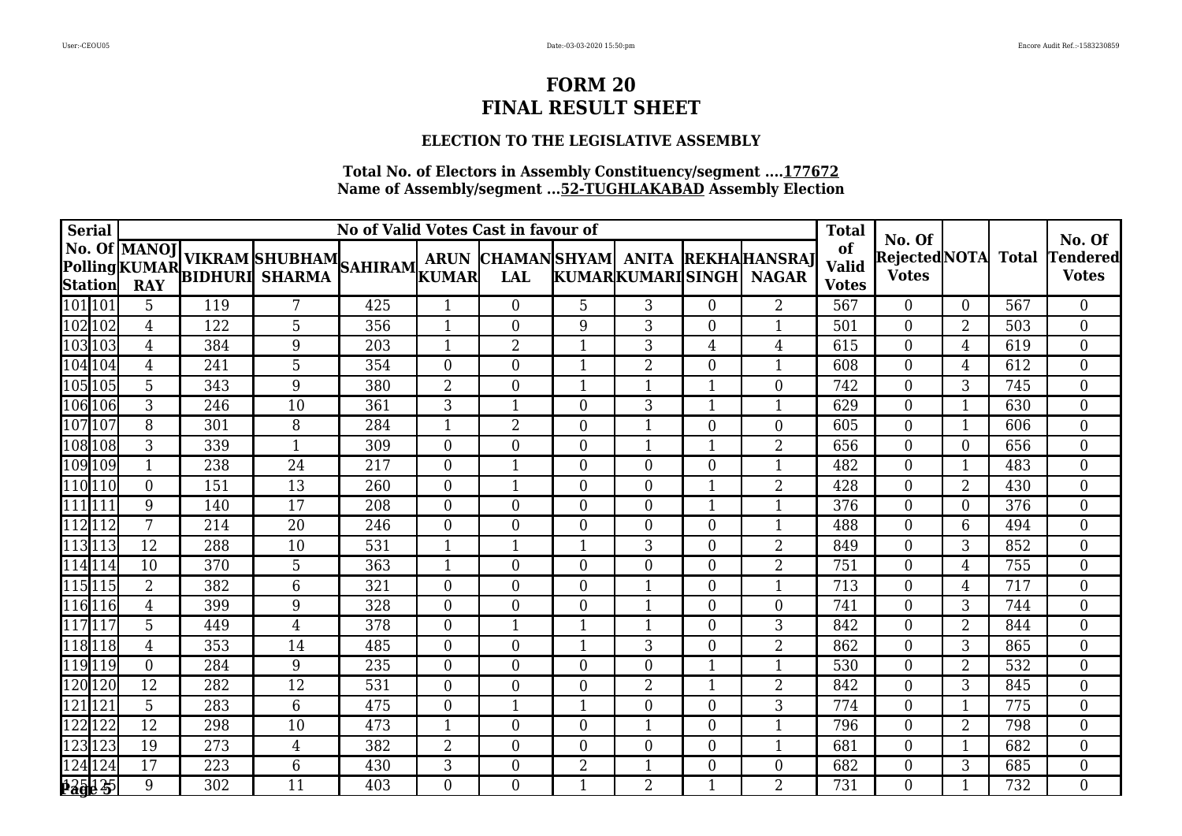## **ELECTION TO THE LEGISLATIVE ASSEMBLY**

| Serial             | No of Valid Votes Cast in favour of |     |                                                                                  |     |                  |                  |                  |                  |                |                                                     |                                    | No. Of                         |                         |              | No. Of                          |
|--------------------|-------------------------------------|-----|----------------------------------------------------------------------------------|-----|------------------|------------------|------------------|------------------|----------------|-----------------------------------------------------|------------------------------------|--------------------------------|-------------------------|--------------|---------------------------------|
| Station            | No. Of  MANOJ  <br><b>RAY</b>       |     | <b>NO. OF MANOJ VIKRAM SHUBHAM</b><br>Polling KUMAR BIDHURI SHARMA SAHIRAM KUMAR |     |                  | <b>LAL</b>       |                  | KUMARKUMARISINGH |                | ARUN CHAMANSHYAM ANITA REKHAHANSRAJ<br><b>NAGAR</b> | of<br><b>Valid</b><br><b>Votes</b> | Rejected NOTA <br><b>Votes</b> |                         | <b>Total</b> | <b>Tendered</b><br><b>Votes</b> |
| [101]101           | 5                                   | 119 | 7                                                                                | 425 |                  | $\overline{0}$   | 5                | 3                | $\Omega$       | 2                                                   | 567                                | $\overline{0}$                 | $\Omega$                | 567          | $\overline{0}$                  |
| 102 102            | 4                                   | 122 | 5                                                                                | 356 | $\mathbf{1}$     | $\boldsymbol{0}$ | 9                | 3                | $\overline{0}$ | $\mathbf{1}$                                        | 501                                | $\boldsymbol{0}$               | $\overline{2}$          | 503          | $\overline{0}$                  |
| 103103             | 4                                   | 384 | 9                                                                                | 203 | $\mathbf{1}$     | $\overline{2}$   | $\mathbf{1}$     | 3                | 4              | 4                                                   | 615                                | $\overline{0}$                 | 4                       | 619          | $\overline{0}$                  |
| 104 104            | 4                                   | 241 | 5                                                                                | 354 | $\overline{0}$   | $\overline{0}$   | -1               | $\overline{2}$   | $\Omega$       | $\mathbf{1}$                                        | 608                                | $\overline{0}$                 | 4                       | 612          | $\overline{0}$                  |
| 105 105            | 5                                   | 343 | 9                                                                                | 380 | $\overline{2}$   | 0                | -1               | $\mathbf{1}$     | -1             | $\boldsymbol{0}$                                    | 742                                | $\overline{0}$                 | 3                       | 745          | $\overline{0}$                  |
| 106 106            | 3                                   | 246 | 10                                                                               | 361 | 3                |                  | $\overline{0}$   | 3                |                | $\mathbf{1}$                                        | 629                                | $\overline{0}$                 | $\mathbf 1$             | 630          | $\boldsymbol{0}$                |
| $\sqrt{107}$ $107$ | 8                                   | 301 | 8                                                                                | 284 | $\mathbf{1}$     | $\overline{2}$   | $\boldsymbol{0}$ | $\mathbf{1}$     | $\overline{0}$ | $\boldsymbol{0}$                                    | 605                                | $\overline{0}$                 | $\mathbf 1$             | 606          | $\overline{0}$                  |
| 108108             | 3                                   | 339 | $\mathbf 1$                                                                      | 309 | $\boldsymbol{0}$ | 0                | $\overline{0}$   | 1                | -1             | $\overline{2}$                                      | 656                                | $\boldsymbol{0}$               | $\overline{0}$          | 656          | $\overline{0}$                  |
| 109 109            | $\mathbf{1}$                        | 238 | 24                                                                               | 217 | $\boldsymbol{0}$ | $\mathbf{1}$     | $\overline{0}$   | $\overline{0}$   | $\overline{0}$ | $\mathbf{1}$                                        | 482                                | $\boldsymbol{0}$               | $\overline{\mathbf{1}}$ | 483          | $\overline{0}$                  |
| 110 110            | $\overline{0}$                      | 151 | 13                                                                               | 260 | $\overline{0}$   | $\mathbf{1}$     | $\overline{0}$   | $\overline{0}$   | $\mathbf 1$    | $\overline{2}$                                      | 428                                | $\overline{0}$                 | $\overline{2}$          | 430          | $\overline{0}$                  |
| 1111111            | 9                                   | 140 | 17                                                                               | 208 | $\overline{0}$   | 0                | $\overline{0}$   | $\overline{0}$   | -1             | $\mathbf{1}$                                        | 376                                | $\overline{0}$                 | $\Omega$                | 376          | $\boldsymbol{0}$                |
| 112 112            | 7                                   | 214 | 20                                                                               | 246 | $\overline{0}$   | 0                | $\overline{0}$   | $\theta$         | $\Omega$       | $\mathbf{1}$                                        | 488                                | $\overline{0}$                 | 6                       | 494          | $\overline{0}$                  |
| 113113             | 12                                  | 288 | 10                                                                               | 531 | 1                | 1                | -1               | 3                | $\Omega$       | $\overline{2}$                                      | 849                                | $\overline{0}$                 | 3                       | 852          | $\overline{0}$                  |
| 114 114            | 10                                  | 370 | 5                                                                                | 363 | 1                | 0                | $\overline{0}$   | $\overline{0}$   | 0              | $\overline{2}$                                      | 751                                | $\overline{0}$                 | 4                       | 755          | $\overline{0}$                  |
| $\sqrt{115}$ $115$ | $\overline{2}$                      | 382 | 6                                                                                | 321 | $\boldsymbol{0}$ | 0                | $\overline{0}$   | $\mathbf 1$      | 0              | $\mathbf{1}$                                        | 713                                | $\boldsymbol{0}$               | 4                       | 717          | $\boldsymbol{0}$                |
| 116 116            | 4                                   | 399 | 9                                                                                | 328 | $\boldsymbol{0}$ | $\boldsymbol{0}$ | $\overline{0}$   | $\mathbf{1}$     | $\overline{0}$ | $\boldsymbol{0}$                                    | 741                                | $\boldsymbol{0}$               | 3                       | 744          | $\boldsymbol{0}$                |
| $\sqrt{117}117$    | 5                                   | 449 | 4                                                                                | 378 | $\boldsymbol{0}$ | $\mathbf{1}$     | 1                | 1                | $\overline{0}$ | 3                                                   | 842                                | $\boldsymbol{0}$               | 2                       | 844          | $\overline{0}$                  |
| 118118             | 4                                   | 353 | 14                                                                               | 485 | $\boldsymbol{0}$ | 0                | -1               | 3                | $\Omega$       | 2                                                   | 862                                | $\boldsymbol{0}$               | 3                       | 865          | $\boldsymbol{0}$                |
| $\sqrt{119}119$    | $\boldsymbol{0}$                    | 284 | 9                                                                                | 235 | $\theta$         | $\overline{0}$   | $\theta$         | $\theta$         | $\mathbf 1$    | $\mathbf{1}$                                        | 530                                | $\theta$                       | $\overline{2}$          | 532          | $\overline{0}$                  |
| 120 120            | 12                                  | 282 | 12                                                                               | 531 | $\boldsymbol{0}$ | $\overline{0}$   | $\overline{0}$   | $\overline{2}$   | -1             | 2                                                   | 842                                | $\boldsymbol{0}$               | 3                       | 845          | $\overline{0}$                  |
| 121 121            | $\overline{5}$                      | 283 | 6                                                                                | 475 | $\overline{0}$   | $\mathbf{1}$     | $\mathbf{1}$     | $\overline{0}$   | 0              | 3                                                   | 774                                | $\overline{0}$                 | $\mathbf 1$             | 775          | $\overline{0}$                  |
| $\sqrt{122}$ 122   | 12                                  | 298 | 10                                                                               | 473 | 1                | 0                | $\overline{0}$   | $\mathbf 1$      | $\overline{0}$ | 1                                                   | 796                                | $\theta$                       | $\overline{2}$          | 798          | $\boldsymbol{0}$                |
| 123 123            | 19                                  | 273 | $\overline{4}$                                                                   | 382 | $\overline{2}$   | $\boldsymbol{0}$ | $\overline{0}$   | $\overline{0}$   | $\overline{0}$ | $\mathbf{1}$                                        | 681                                | $\boldsymbol{0}$               | 1                       | 682          | $\boldsymbol{0}$                |
| 124 124            | 17                                  | 223 | 6                                                                                | 430 | 3                | $\boldsymbol{0}$ | $\overline{2}$   | $\mathbf{1}$     | $\overline{0}$ | $\boldsymbol{0}$                                    | 682                                | $\boldsymbol{0}$               | 3                       | 685          | $\boldsymbol{0}$                |
| 325 25             | 9                                   | 302 | 11                                                                               | 403 | $\boldsymbol{0}$ | $\overline{0}$   | 1                | $\overline{2}$   | $\mathbf 1$    | $\overline{2}$                                      | 731                                | $\overline{0}$                 | $\mathbf 1$             | 732          | $\overline{0}$                  |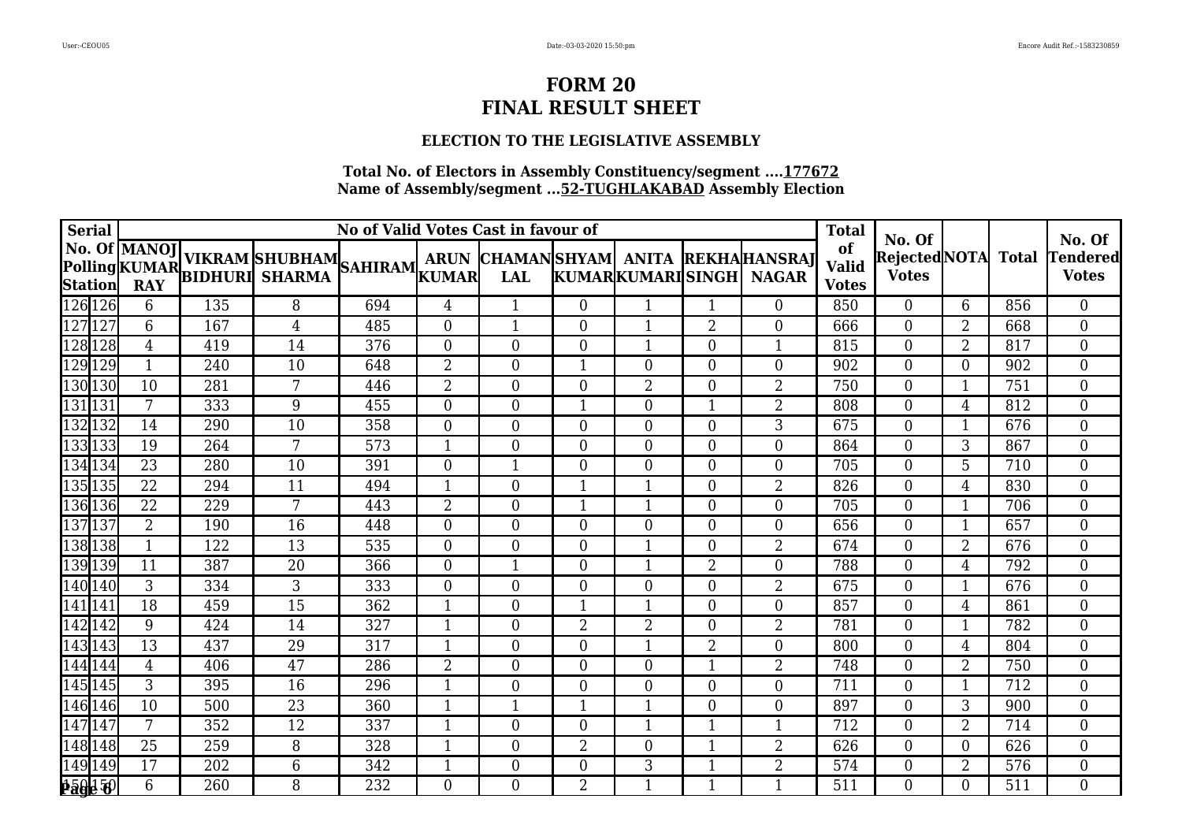## **ELECTION TO THE LEGISLATIVE ASSEMBLY**

| Serial            |                |                 |     |                                                                             | <b>Total</b> | No. Of           |                |                  | No. Of                   |                |                                                     |                                    |                                    |                |     |                          |
|-------------------|----------------|-----------------|-----|-----------------------------------------------------------------------------|--------------|------------------|----------------|------------------|--------------------------|----------------|-----------------------------------------------------|------------------------------------|------------------------------------|----------------|-----|--------------------------|
|                   |                |                 |     | No. Of MANOJ VIKRAM SHUBHAM SAHIRAM ARUN NARUNG POLING KUMAR BIDHURI SHARMA |              |                  | <b>LAL</b>     |                  | <b>KUMARKUMARISINGHI</b> |                | ARUN CHAMANSHYAM ANITA REKHAHANSRAJ<br><b>NAGAR</b> | of<br><b>Valid</b><br><b>Votes</b> | RejectedNOTA Total<br><b>Votes</b> |                |     | Tendered<br><b>Votes</b> |
| $\sqrt{126}$  126 |                | 6               | 135 | 8                                                                           | 694          | 4                | $\mathbf{1}$   | $\overline{0}$   | 1                        | -1             | $\overline{0}$                                      | 850                                | $\theta$                           | 6              | 856 | $\overline{0}$           |
| 127 127           |                | 6               | 167 | 4                                                                           | 485          | $\overline{0}$   | $\mathbf{1}$   | $\overline{0}$   | 1                        | $\overline{2}$ | $\overline{0}$                                      | 666                                | $\theta$                           | $\overline{2}$ | 668 | $\overline{0}$           |
| 128 128           |                | $\overline{4}$  | 419 | 14                                                                          | 376          | $\overline{0}$   | $\overline{0}$ | $\theta$         | $\mathbf{1}$             | $\Omega$       | $\mathbf{1}$                                        | 815                                | $\theta$                           | $\overline{2}$ | 817 | $\overline{0}$           |
| 129 129           |                | $\mathbf{1}$    | 240 | 10                                                                          | 648          | $\overline{2}$   | $\overline{0}$ |                  | $\Omega$                 | $\Omega$       | $\overline{0}$                                      | 902                                | $\overline{0}$                     | $\Omega$       | 902 | $\overline{0}$           |
| 130 130           |                | 10              | 281 | 7                                                                           | 446          | $\overline{2}$   | $\overline{0}$ | $\overline{0}$   | $\overline{2}$           | $\theta$       | $\overline{2}$                                      | 750                                | $\overline{0}$                     | $\mathbf 1$    | 751 | $\overline{0}$           |
| 131131            |                | $7\overline{ }$ | 333 | 9                                                                           | 455          | $\overline{0}$   | $\overline{0}$ | -1               | $\theta$                 |                | $\overline{2}$                                      | 808                                | $\theta$                           | 4              | 812 | $\overline{0}$           |
| 132 132           |                | 14              | 290 | 10                                                                          | 358          | $\boldsymbol{0}$ | $\overline{0}$ | $\overline{0}$   | $\overline{0}$           | $\overline{0}$ | $\overline{3}$                                      | 675                                | $\overline{0}$                     | $\mathbf 1$    | 676 | $\overline{0}$           |
| 133133            |                | 19              | 264 | 7                                                                           | 573          | $\mathbf{1}$     | $\overline{0}$ | $\overline{0}$   | $\overline{0}$           | $\Omega$       | $\boldsymbol{0}$                                    | 864                                | $\overline{0}$                     | 3              | 867 | $\overline{0}$           |
| $\sqrt{134}$ 134  |                | 23              | 280 | 10                                                                          | 391          | $\overline{0}$   | $\mathbf{1}$   | $\boldsymbol{0}$ | $\overline{0}$           | $\Omega$       | $\boldsymbol{0}$                                    | 705                                | $\overline{0}$                     | 5              | 710 | $\overline{0}$           |
| 135 135           |                | 22              | 294 | 11                                                                          | 494          | $\mathbf{1}$     | $\theta$       | $\mathbf{1}$     | $\mathbf{1}$             | $\Omega$       | $\overline{2}$                                      | 826                                | $\theta$                           | 4              | 830 | $\overline{0}$           |
| 136 136           |                | 22              | 229 | 7                                                                           | 443          | $\overline{2}$   | $\overline{0}$ | -1               | $\mathbf 1$              | $\Omega$       | $\overline{0}$                                      | 705                                | $\overline{0}$                     | $\mathbf 1$    | 706 | $\overline{0}$           |
| 137 137           |                | $\overline{2}$  | 190 | 16                                                                          | 448          | $\overline{0}$   | $\overline{0}$ | $\overline{0}$   | $\overline{0}$           | 0              | $\overline{0}$                                      | 656                                | $\overline{0}$                     | $\mathbf 1$    | 657 | $\overline{0}$           |
| 138 138           |                | $\mathbf{1}$    | 122 | 13                                                                          | 535          | $\overline{0}$   | $\overline{0}$ | $\overline{0}$   | -1                       | $\overline{0}$ | $\overline{2}$                                      | 674                                | $\overline{0}$                     | $\overline{2}$ | 676 | $\overline{0}$           |
| 139 139           |                | 11              | 387 | 20                                                                          | 366          | $\boldsymbol{0}$ | $\mathbf 1$    | $\mathbf{0}$     | $\mathbf{1}$             | $\overline{2}$ | $\boldsymbol{0}$                                    | 788                                | $\overline{0}$                     | 4              | 792 | $\overline{0}$           |
| 140 140           |                | 3               | 334 | 3                                                                           | 333          | $\boldsymbol{0}$ | 0              | $\overline{0}$   | $\overline{0}$           | 0              | $\overline{2}$                                      | 675                                | $\boldsymbol{0}$                   | $\mathbf 1$    | 676 | $\overline{0}$           |
| 141 141           |                | 18              | 459 | 15                                                                          | 362          | $\mathbf{1}$     | 0              | -1               | $\mathbf{1}$             | $\overline{0}$ | $\boldsymbol{0}$                                    | 857                                | $\boldsymbol{0}$                   | 4              | 861 | $\overline{0}$           |
| 142 142           |                | 9               | 424 | 14                                                                          | 327          | $\mathbf{1}$     | $\overline{0}$ | $\overline{2}$   | $\overline{2}$           | $\overline{0}$ | $\overline{2}$                                      | 781                                | $\boldsymbol{0}$                   | $\mathbf 1$    | 782 | $\overline{0}$           |
| 143 143           |                | 13              | 437 | 29                                                                          | 317          | $\mathbf{1}$     | 0              | $\boldsymbol{0}$ | $\mathbf{1}$             | $\overline{2}$ | $\boldsymbol{0}$                                    | 800                                | $\boldsymbol{0}$                   | 4              | 804 | $\overline{0}$           |
| 144 144           |                | $\overline{4}$  | 406 | 47                                                                          | 286          | $\overline{2}$   | $\overline{0}$ | $\overline{0}$   | $\theta$                 | $\mathbf{1}$   | $\overline{2}$                                      | 748                                | $\theta$                           | $\overline{2}$ | 750 | $\overline{0}$           |
| 145 145           |                | 3               | 395 | 16                                                                          | 296          | 1                | $\overline{0}$ | $\overline{0}$   | $\overline{0}$           | $\Omega$       | $\boldsymbol{0}$                                    | 711                                | $\boldsymbol{0}$                   | $\mathbf 1$    | 712 | $\overline{0}$           |
| 146 146           |                | 10              | 500 | 23                                                                          | 360          | 1                | $\mathbf{1}$   | $\mathbf 1$      | $\mathbf{1}$             | $\theta$       | $\overline{0}$                                      | 897                                | $\overline{0}$                     | 3              | 900 | $\overline{0}$           |
| $\sqrt{147}147$   |                | 7               | 352 | 12                                                                          | 337          | 1                | 0              | $\mathbf{0}$     | 1                        |                |                                                     | 712                                | $\overline{0}$                     | $\overline{2}$ | 714 | $\boldsymbol{0}$         |
| 148 148           |                | 25              | 259 | 8                                                                           | 328          | $\mathbf{1}$     | $\overline{0}$ | $\overline{2}$   | $\overline{0}$           |                | $\overline{2}$                                      | 626                                | $\overline{0}$                     | $\overline{0}$ | 626 | $\overline{0}$           |
| 149 149           |                | 17              | 202 | 6                                                                           | 342          | 1                | 0              | $\boldsymbol{0}$ | 3                        | -1             | $\overline{2}$                                      | 574                                | $\boldsymbol{0}$                   | 2              | 576 | $\overline{0}$           |
|                   | <u>159150 </u> | 6               | 260 | 8                                                                           | 232          | $\overline{0}$   | $\overline{0}$ | $\overline{2}$   | $\mathbf{1}$             | $\mathbf 1$    | $\mathbf{1}$                                        | 511                                | $\overline{0}$                     | $\theta$       | 511 | $\overline{0}$           |